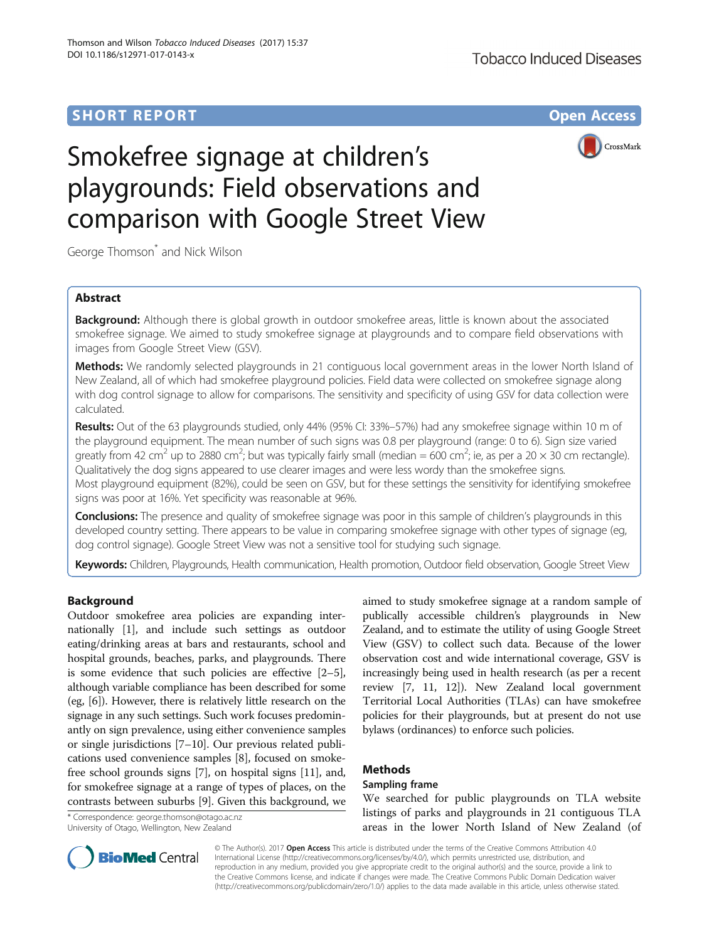# **SHORT REPORT SHORT CONSUMING THE CONSUMING THE CONSUMING THE CONSUMING THE CONSUMING THE CONSUMING THE CONSUMING THE CONSUMING THE CONSUMING THE CONSUMING THE CONSUMING THE CONSUMING THE CONSUMING THE CONSUMING THE CONS**



# Smokefree signage at children's playgrounds: Field observations and comparison with Google Street View

George Thomson<sup>\*</sup> and Nick Wilson

# Abstract

**Background:** Although there is global growth in outdoor smokefree areas, little is known about the associated smokefree signage. We aimed to study smokefree signage at playgrounds and to compare field observations with images from Google Street View (GSV).

Methods: We randomly selected playgrounds in 21 contiguous local government areas in the lower North Island of New Zealand, all of which had smokefree playground policies. Field data were collected on smokefree signage along with dog control signage to allow for comparisons. The sensitivity and specificity of using GSV for data collection were calculated.

Results: Out of the 63 playgrounds studied, only 44% (95% CI: 33%–57%) had any smokefree signage within 10 m of the playground equipment. The mean number of such signs was 0.8 per playground (range: 0 to 6). Sign size varied greatly from 42 cm<sup>2</sup> up to 2880 cm<sup>2</sup>; but was typically fairly small (median = 600 cm<sup>2</sup>; ie, as per a 20 × 30 cm rectangle). Qualitatively the dog signs appeared to use clearer images and were less wordy than the smokefree signs. Most playground equipment (82%), could be seen on GSV, but for these settings the sensitivity for identifying smokefree signs was poor at 16%. Yet specificity was reasonable at 96%.

**Conclusions:** The presence and quality of smokefree signage was poor in this sample of children's playgrounds in this developed country setting. There appears to be value in comparing smokefree signage with other types of signage (eg, dog control signage). Google Street View was not a sensitive tool for studying such signage.

Keywords: Children, Playgrounds, Health communication, Health promotion, Outdoor field observation, Google Street View

# Background

Outdoor smokefree area policies are expanding internationally [[1\]](#page-3-0), and include such settings as outdoor eating/drinking areas at bars and restaurants, school and hospital grounds, beaches, parks, and playgrounds. There is some evidence that such policies are effective [[2](#page-3-0)–[5](#page-3-0)], although variable compliance has been described for some (eg, [\[6](#page-3-0)]). However, there is relatively little research on the signage in any such settings. Such work focuses predominantly on sign prevalence, using either convenience samples or single jurisdictions [\[7](#page-3-0)–[10\]](#page-3-0). Our previous related publications used convenience samples [\[8](#page-3-0)], focused on smokefree school grounds signs [[7\]](#page-3-0), on hospital signs [\[11\]](#page-3-0), and, for smokefree signage at a range of types of places, on the contrasts between suburbs [[9\]](#page-3-0). Given this background, we

\* Correspondence: [george.thomson@otago.ac.nz](mailto:george.thomson@otago.ac.nz) University of Otago, Wellington, New Zealand

aimed to study smokefree signage at a random sample of publically accessible children's playgrounds in New Zealand, and to estimate the utility of using Google Street View (GSV) to collect such data. Because of the lower observation cost and wide international coverage, GSV is increasingly being used in health research (as per a recent review [\[7, 11, 12\]](#page-3-0)). New Zealand local government Territorial Local Authorities (TLAs) can have smokefree policies for their playgrounds, but at present do not use bylaws (ordinances) to enforce such policies.

# Methods

# Sampling frame

We searched for public playgrounds on TLA website listings of parks and playgrounds in 21 contiguous TLA areas in the lower North Island of New Zealand (of



© The Author(s). 2017 Open Access This article is distributed under the terms of the Creative Commons Attribution 4.0 International License [\(http://creativecommons.org/licenses/by/4.0/](http://creativecommons.org/licenses/by/4.0/)), which permits unrestricted use, distribution, and reproduction in any medium, provided you give appropriate credit to the original author(s) and the source, provide a link to the Creative Commons license, and indicate if changes were made. The Creative Commons Public Domain Dedication waiver [\(http://creativecommons.org/publicdomain/zero/1.0/](http://creativecommons.org/publicdomain/zero/1.0/)) applies to the data made available in this article, unless otherwise stated.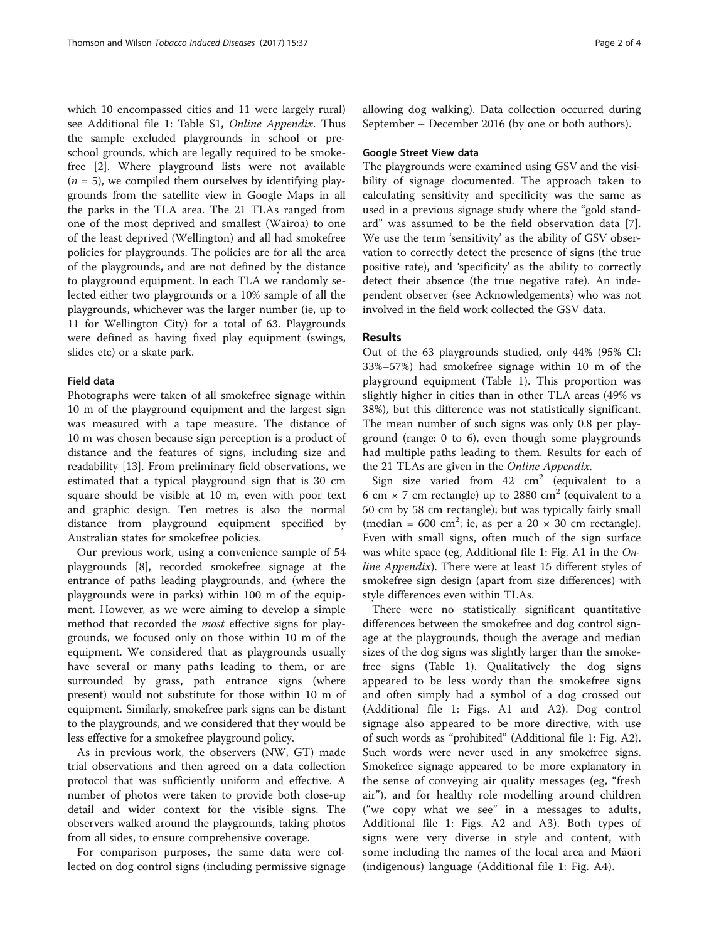which 10 encompassed cities and 11 were largely rural) see Additional file [1:](#page-3-0) Table S1, Online Appendix. Thus the sample excluded playgrounds in school or preschool grounds, which are legally required to be smokefree [\[2\]](#page-3-0). Where playground lists were not available  $(n = 5)$ , we compiled them ourselves by identifying playgrounds from the satellite view in Google Maps in all the parks in the TLA area. The 21 TLAs ranged from one of the most deprived and smallest (Wairoa) to one of the least deprived (Wellington) and all had smokefree policies for playgrounds. The policies are for all the area of the playgrounds, and are not defined by the distance to playground equipment. In each TLA we randomly selected either two playgrounds or a 10% sample of all the playgrounds, whichever was the larger number (ie, up to 11 for Wellington City) for a total of 63. Playgrounds were defined as having fixed play equipment (swings, slides etc) or a skate park.

# Field data

Photographs were taken of all smokefree signage within 10 m of the playground equipment and the largest sign was measured with a tape measure. The distance of 10 m was chosen because sign perception is a product of distance and the features of signs, including size and readability [[13\]](#page-3-0). From preliminary field observations, we estimated that a typical playground sign that is 30 cm square should be visible at 10 m, even with poor text and graphic design. Ten metres is also the normal distance from playground equipment specified by Australian states for smokefree policies.

Our previous work, using a convenience sample of 54 playgrounds [[8\]](#page-3-0), recorded smokefree signage at the entrance of paths leading playgrounds, and (where the playgrounds were in parks) within 100 m of the equipment. However, as we were aiming to develop a simple method that recorded the most effective signs for playgrounds, we focused only on those within 10 m of the equipment. We considered that as playgrounds usually have several or many paths leading to them, or are surrounded by grass, path entrance signs (where present) would not substitute for those within 10 m of equipment. Similarly, smokefree park signs can be distant to the playgrounds, and we considered that they would be less effective for a smokefree playground policy.

As in previous work, the observers (NW, GT) made trial observations and then agreed on a data collection protocol that was sufficiently uniform and effective. A number of photos were taken to provide both close-up detail and wider context for the visible signs. The observers walked around the playgrounds, taking photos from all sides, to ensure comprehensive coverage.

For comparison purposes, the same data were collected on dog control signs (including permissive signage allowing dog walking). Data collection occurred during September – December 2016 (by one or both authors).

## Google Street View data

The playgrounds were examined using GSV and the visibility of signage documented. The approach taken to calculating sensitivity and specificity was the same as used in a previous signage study where the "gold standard" was assumed to be the field observation data [\[7](#page-3-0)]. We use the term 'sensitivity' as the ability of GSV observation to correctly detect the presence of signs (the true positive rate), and 'specificity' as the ability to correctly detect their absence (the true negative rate). An independent observer (see Acknowledgements) who was not involved in the field work collected the GSV data.

# Results

Out of the 63 playgrounds studied, only 44% (95% CI: 33%–57%) had smokefree signage within 10 m of the playground equipment (Table [1](#page-2-0)). This proportion was slightly higher in cities than in other TLA areas (49% vs 38%), but this difference was not statistically significant. The mean number of such signs was only 0.8 per playground (range: 0 to 6), even though some playgrounds had multiple paths leading to them. Results for each of the 21 TLAs are given in the Online Appendix.

Sign size varied from  $42 \text{ cm}^2$  (equivalent to a 6 cm  $\times$  7 cm rectangle) up to 2880 cm<sup>2</sup> (equivalent to a 50 cm by 58 cm rectangle); but was typically fairly small (median = 600 cm<sup>2</sup>; ie, as per a 20  $\times$  30 cm rectangle). Even with small signs, often much of the sign surface was white space (eg, Additional file [1:](#page-3-0) Fig. A1 in the Online Appendix). There were at least 15 different styles of smokefree sign design (apart from size differences) with style differences even within TLAs.

There were no statistically significant quantitative differences between the smokefree and dog control signage at the playgrounds, though the average and median sizes of the dog signs was slightly larger than the smokefree signs (Table [1](#page-2-0)). Qualitatively the dog signs appeared to be less wordy than the smokefree signs and often simply had a symbol of a dog crossed out (Additional file [1:](#page-3-0) Figs. A1 and A2). Dog control signage also appeared to be more directive, with use of such words as "prohibited" (Additional file [1](#page-3-0): Fig. A2). Such words were never used in any smokefree signs. Smokefree signage appeared to be more explanatory in the sense of conveying air quality messages (eg, "fresh air"), and for healthy role modelling around children ("we copy what we see" in a messages to adults, Additional file [1](#page-3-0): Figs. A2 and A3). Both types of signs were very diverse in style and content, with some including the names of the local area and Māori (indigenous) language (Additional file [1:](#page-3-0) Fig. A4).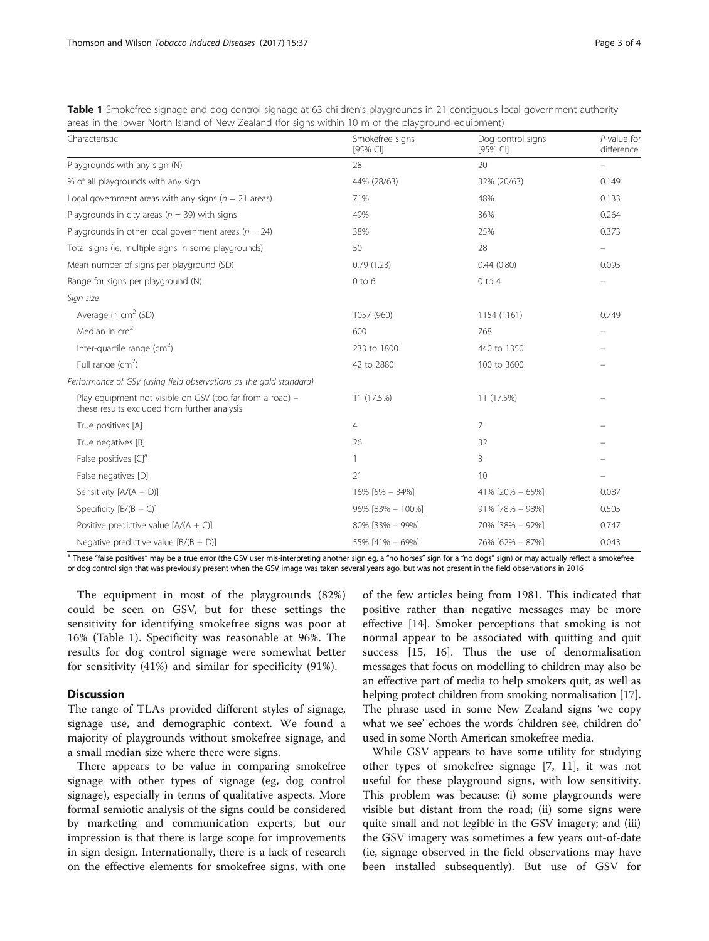| Characteristic                                                                                            | Smokefree signs<br>$[95%$ CI] | Dog control signs<br>$[95%$ CI] | $P$ -value for<br>difference |
|-----------------------------------------------------------------------------------------------------------|-------------------------------|---------------------------------|------------------------------|
| Playgrounds with any sign (N)                                                                             | 28                            | 20                              |                              |
| % of all playgrounds with any sign                                                                        | 44% (28/63)                   | 32% (20/63)                     | 0.149                        |
| Local government areas with any signs ( $n = 21$ areas)                                                   | 71%                           | 48%                             | 0.133                        |
| Playgrounds in city areas ( $n = 39$ ) with signs                                                         | 49%                           | 36%                             | 0.264                        |
| Playgrounds in other local government areas ( $n = 24$ )                                                  | 38%                           | 25%                             | 0.373                        |
| Total signs (ie, multiple signs in some playgrounds)                                                      | 50                            | 28                              |                              |
| Mean number of signs per playground (SD)                                                                  | 0.79(1.23)                    | 0.44(0.80)                      | 0.095                        |
| Range for signs per playground (N)                                                                        | $0$ to $6$                    | $0$ to $4$                      |                              |
| Sign size                                                                                                 |                               |                                 |                              |
| Average in $cm2$ (SD)                                                                                     | 1057 (960)                    | 1154 (1161)                     | 0.749                        |
| Median in $cm2$                                                                                           | 600                           | 768                             |                              |
| Inter-quartile range $(cm2)$                                                                              | 233 to 1800                   | 440 to 1350                     |                              |
| Full range $(cm2)$                                                                                        | 42 to 2880                    | 100 to 3600                     |                              |
| Performance of GSV (using field observations as the gold standard)                                        |                               |                                 |                              |
| Play equipment not visible on GSV (too far from a road) -<br>these results excluded from further analysis | 11 (17.5%)                    | 11 (17.5%)                      |                              |

<span id="page-2-0"></span>Table 1 Smokefree signage and dog control signage at 63 children's playgrounds in 21 contiguous local government authority areas in the lower North Island of New Zealand (for signs within 10 m of the playground equipment)

Negative predictive value [B/(B + D)] 55% [41% – 69%] 76% [62% – 87%] 0.043 <sup>a</sup> These "false positives" may be a true error (the GSV user mis-interpreting another sign eg, a "no horses" sign for a "no dogs" sign) or may actually reflect a smokefree or dog control sign that was previously present when the GSV image was taken several years ago, but was not present in the field observations in 2016

Sensitivity  $[A/(A + D)]$  16%  $[5\% - 34\%]$  41%  $[20\% - 65\%]$  0.087 Specificity  $[B/(B+C)]$  90%  $[33\% - 100\%]$  91%  $[78\% - 98\%]$  91%  $[78\% - 98\%]$  91% [78% – 98%] Positive predictive value  $[A/(A + C)]$  80% [33% – 99%] 70% [38% – 92%] 0.747

True positives [A] and the set of the set of the set of the set of the set of the set of the set of the set of the set of the set of the set of the set of the set of the set of the set of the set of the set of the set of t True negatives [B] 32 and 32 and 32 and 32 and 32 and 32 and 32 and 32 and 32 and 32 and 32 and 32 and 32 and 32 and 32 and 32 and 32 and 32 and 32 and 32 and 32 and 32 and 32 and 32 and 32 and 32 and 32 and 32 and 32 and False positives  $|C|^a$  3 False negatives [D] 10 and 10  $\frac{1}{21}$  21 and 21 and 21 and 21 and 21 and 21 and 21 and 21 and 21 and 21 and 21 and 21 and 21 and 21 and 22 and 22 and 22 and 22 and 22 and 22 and 22 and 22 and 22 and 22 and 22 and 22 and

The equipment in most of the playgrounds (82%) could be seen on GSV, but for these settings the sensitivity for identifying smokefree signs was poor at 16% (Table 1). Specificity was reasonable at 96%. The results for dog control signage were somewhat better for sensitivity (41%) and similar for specificity (91%).

## **Discussion**

The range of TLAs provided different styles of signage, signage use, and demographic context. We found a majority of playgrounds without smokefree signage, and a small median size where there were signs.

There appears to be value in comparing smokefree signage with other types of signage (eg, dog control signage), especially in terms of qualitative aspects. More formal semiotic analysis of the signs could be considered by marketing and communication experts, but our impression is that there is large scope for improvements in sign design. Internationally, there is a lack of research on the effective elements for smokefree signs, with one of the few articles being from 1981. This indicated that positive rather than negative messages may be more effective [\[14\]](#page-3-0). Smoker perceptions that smoking is not normal appear to be associated with quitting and quit success [[15, 16\]](#page-3-0). Thus the use of denormalisation messages that focus on modelling to children may also be an effective part of media to help smokers quit, as well as helping protect children from smoking normalisation [[17](#page-3-0)]. The phrase used in some New Zealand signs 'we copy what we see' echoes the words 'children see, children do' used in some North American smokefree media.

While GSV appears to have some utility for studying other types of smokefree signage [[7, 11](#page-3-0)], it was not useful for these playground signs, with low sensitivity. This problem was because: (i) some playgrounds were visible but distant from the road; (ii) some signs were quite small and not legible in the GSV imagery; and (iii) the GSV imagery was sometimes a few years out-of-date (ie, signage observed in the field observations may have been installed subsequently). But use of GSV for